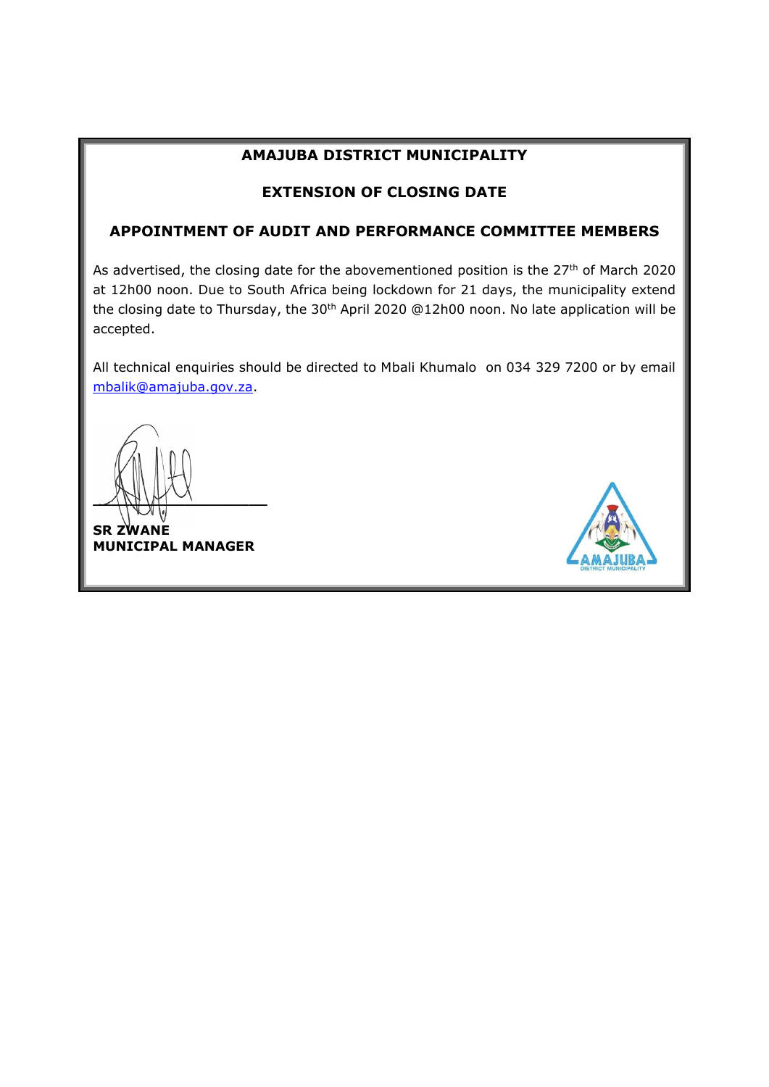## **AMAJUBA DISTRICT MUNICIPALITY**

### **EXTENSION OF CLOSING DATE**

## **APPOINTMENT OF AUDIT AND PERFORMANCE COMMITTEE MEMBERS**

As advertised, the closing date for the abovementioned position is the 27<sup>th</sup> of March 2020 at 12h00 noon. Due to South Africa being lockdown for 21 days, the municipality extend the closing date to Thursday, the 30<sup>th</sup> April 2020 @12h00 noon. No late application will be accepted.

All technical enquiries should be directed to Mbali Khumalo on 034 329 7200 or by email [mbalik@amajuba.gov.za.](mailto:mbalik@amajuba.gov.za)

 $MNM$ 

**SR ZWANE MUNICIPAL MANAGER**

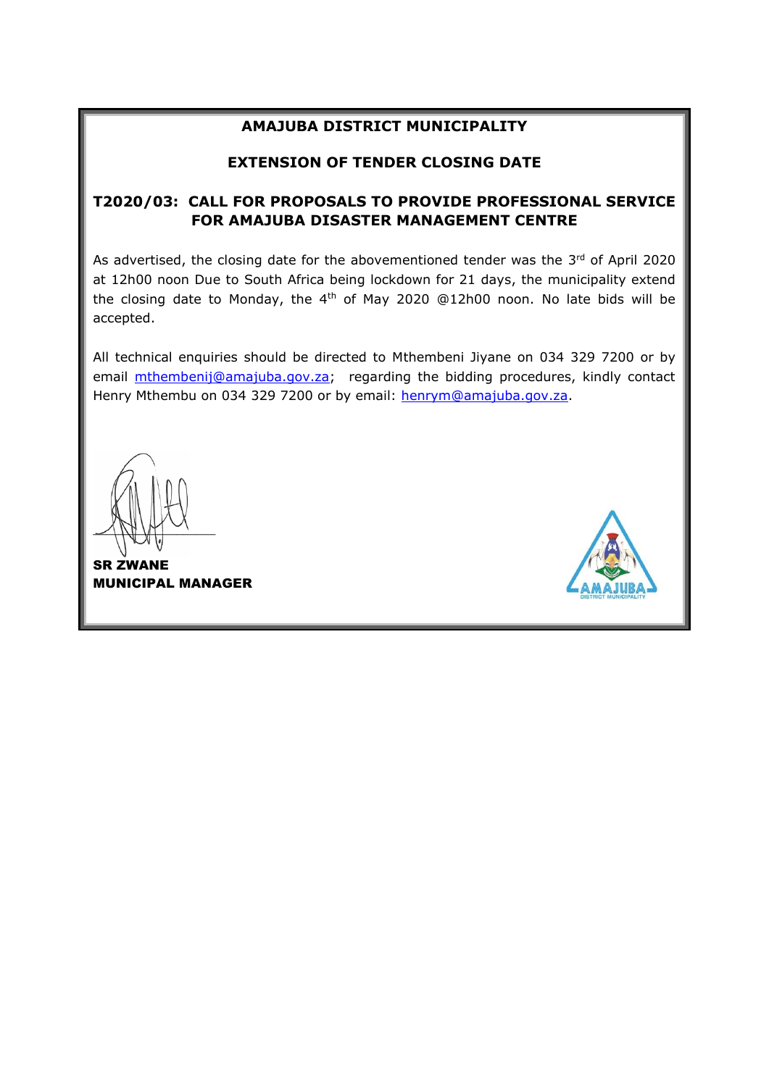#### **AMAJUBA DISTRICT MUNICIPALITY**

### **EXTENSION OF TENDER CLOSING DATE**

## **T2020/03: CALL FOR PROPOSALS TO PROVIDE PROFESSIONAL SERVICE FOR AMAJUBA DISASTER MANAGEMENT CENTRE**

As advertised, the closing date for the abovementioned tender was the  $3<sup>rd</sup>$  of April 2020 at 12h00 noon Due to South Africa being lockdown for 21 days, the municipality extend the closing date to Monday, the 4<sup>th</sup> of May 2020 @12h00 noon. No late bids will be accepted.

All technical enquiries should be directed to Mthembeni Jiyane on 034 329 7200 or by email **mthembenij@amajuba.gov.za**; regarding the bidding procedures, kindly contact Henry Mthembu on 034 329 7200 or by email: [henrym@amajuba.gov.za.](mailto:henrym@amajuba.gov.za)

 $\sim$ 

SR ZWANE MUNICIPAL MANAGER